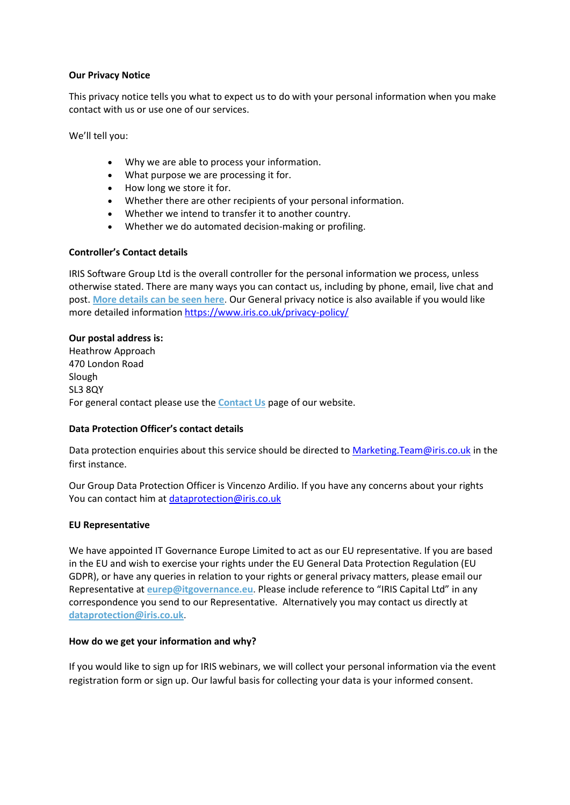## **Our Privacy Notice**

This privacy notice tells you what to expect us to do with your personal information when you make contact with us or use one of our services.

We'll tell you:

- Why we are able to process your information.
- What purpose we are processing it for.
- How long we store it for.
- Whether there are other recipients of your personal information.
- Whether we intend to transfer it to another country.
- Whether we do automated decision-making or profiling.

# **Controller's Contact details**

IRIS Software Group Ltd is the overall controller for the personal information we process, unless otherwise stated. There are many ways you can contact us, including by phone, email, live chat and post. **[More details can be seen here](https://www.iris.co.uk/about-iris/contact-us/)**. Our General privacy notice is also available if you would like more detailed information<https://www.iris.co.uk/privacy-policy/>

# **Our postal address is:**

Heathrow Approach 470 London Road Slough SL3 8QY For general contact please use the **[Contact Us](https://www.iris.co.uk/contact-us/)** page of our website.

# **Data Protection Officer's contact details**

Data protection enquiries about this service should be directed to Marketing. Team@iris.co.uk in the first instance.

Our Group Data Protection Officer is Vincenzo Ardilio. If you have any concerns about your rights You can contact him a[t dataprotection@iris.co.uk](mailto:dataprotection@iris.co.uk)

## **EU Representative**

We have appointed IT Governance Europe Limited to act as our EU representative. If you are based in the EU and wish to exercise your rights under the EU General Data Protection Regulation (EU GDPR), or have any queries in relation to your rights or general privacy matters, please email our Representative at **[eurep@itgovernance.eu](mailto:eurep@itgovernance.eu)**. Please include reference to "IRIS Capital Ltd" in any correspondence you send to our Representative. Alternatively you may contact us directly at **[dataprotection@iris.co.uk](mailto:dataprotection@iris.co.uk)**.

## **How do we get your information and why?**

If you would like to sign up for IRIS webinars, we will collect your personal information via the event registration form or sign up. Our lawful basis for collecting your data is your informed consent.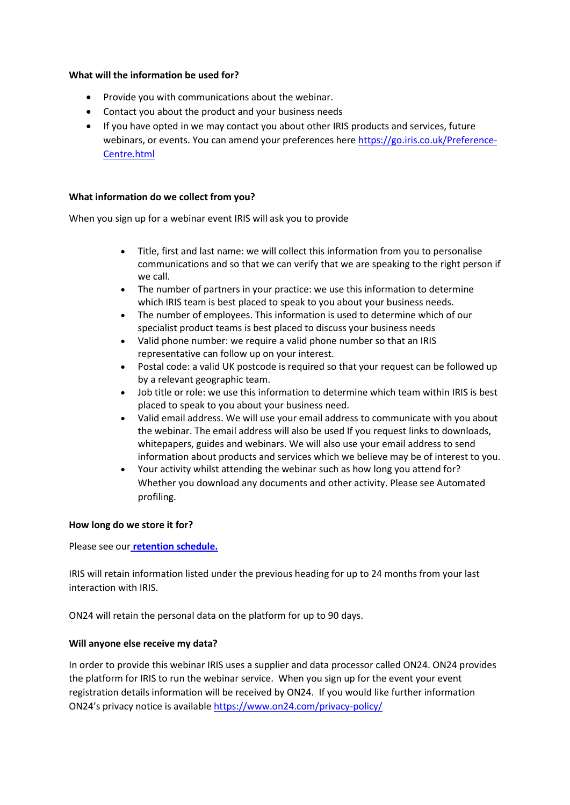## **What will the information be used for?**

- Provide you with communications about the webinar.
- Contact you about the product and your business needs
- If you have opted in we may contact you about other IRIS products and services, future webinars, or events. You can amend your preferences here [https://go.iris.co.uk/Preference-](https://go.iris.co.uk/Preference-Centre.html)[Centre.html](https://go.iris.co.uk/Preference-Centre.html)

### **What information do we collect from you?**

When you sign up for a webinar event IRIS will ask you to provide

- Title, first and last name: we will collect this information from you to personalise communications and so that we can verify that we are speaking to the right person if we call.
- The number of partners in your practice: we use this information to determine which IRIS team is best placed to speak to you about your business needs.
- The number of employees. This information is used to determine which of our specialist product teams is best placed to discuss your business needs
- Valid phone number: we require a valid phone number so that an IRIS representative can follow up on your interest.
- Postal code: a valid UK postcode is required so that your request can be followed up by a relevant geographic team.
- Job title or role: we use this information to determine which team within IRIS is best placed to speak to you about your business need.
- Valid email address. We will use your email address to communicate with you about the webinar. The email address will also be used If you request links to downloads, whitepapers, guides and webinars. We will also use your email address to send information about products and services which we believe may be of interest to you.
- Your activity whilst attending the webinar such as how long you attend for? Whether you download any documents and other activity. Please see Automated profiling.

## **How long do we store it for?**

Please see our **[retention schedule.](https://www.iris.co.uk/company/privacy/)**

IRIS will retain information listed under the previous heading for up to 24 months from your last interaction with IRIS.

ON24 will retain the personal data on the platform for up to 90 days.

## **Will anyone else receive my data?**

In order to provide this webinar IRIS uses a supplier and data processor called ON24. ON24 provides the platform for IRIS to run the webinar service. When you sign up for the event your event registration details information will be received by ON24. If you would like further information ON24's privacy notice is available<https://www.on24.com/privacy-policy/>